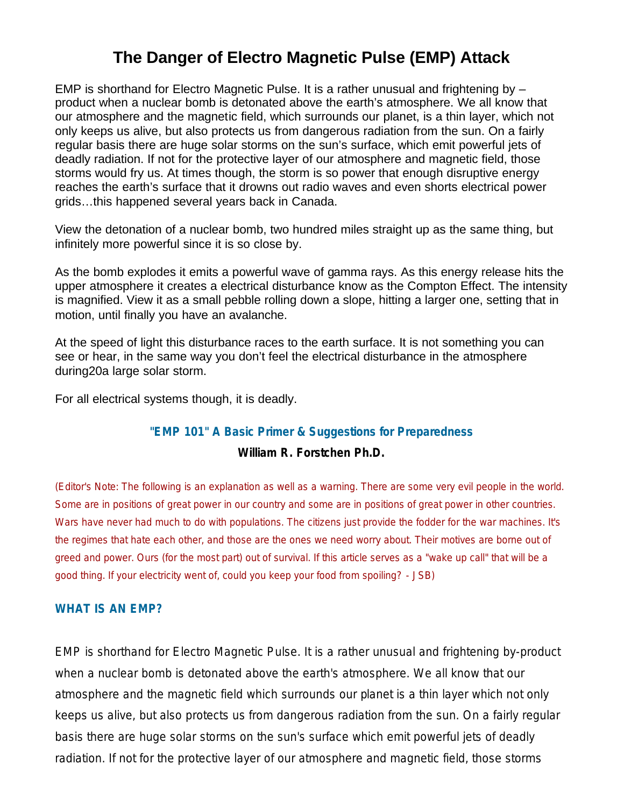# **The Danger of Electro Magnetic Pulse (EMP) Attack**

EMP is shorthand for Electro Magnetic Pulse. It is a rather unusual and frightening by – product when a nuclear bomb is detonated above the earth's atmosphere. We all know that our atmosphere and the magnetic field, which surrounds our planet, is a thin layer, which not only keeps us alive, but also protects us from dangerous radiation from the sun. On a fairly regular basis there are huge solar storms on the sun's surface, which emit powerful jets of deadly radiation. If not for the protective layer of our atmosphere and magnetic field, those storms would fry us. At times though, the storm is so power that enough disruptive energy reaches the earth's surface that it drowns out radio waves and even shorts electrical power grids…this happened several years back in Canada.

View the detonation of a nuclear bomb, two hundred miles straight up as the same thing, but infinitely more powerful since it is so close by.

As the bomb explodes it emits a powerful wave of gamma rays. As this energy release hits the upper atmosphere it creates a electrical disturbance know as the Compton Effect. The intensity is magnified. View it as a small pebble rolling down a slope, hitting a larger one, setting that in motion, until finally you have an avalanche.

At the speed of light this disturbance races to the earth surface. It is not something you can see or hear, in the same way you don't feel the electrical disturbance in the atmosphere during20a large solar storm.

For all electrical systems though, it is deadly.

### **"EMP 101" A Basic Primer & Suggestions for Preparedness**

### **William R. Forstchen Ph.D.**

*(Editor's Note: The following is an explanation as well as a warning. There are some very evil people in the world. Some are in positions of great power in our country and some are in positions of great power in other countries. Wars have never had much to do with populations. The citizens just provide the fodder for the war machines. It's the regimes that hate each other, and those are the ones we need worry about. Their motives are borne out of greed and power. Ours (for the most part) out of survival. If this article serves as a "wake up call" that will be a good thing. If your electricity went of, could you keep your food from spoiling? - JSB)* 

#### **WHAT IS AN EMP?**

EMP is shorthand for Electro Magnetic Pulse. It is a rather unusual and frightening by-product when a nuclear bomb is detonated above the earth's atmosphere. We all know that our atmosphere and the magnetic field which surrounds our planet is a thin layer which not only keeps us alive, but also protects us from dangerous radiation from the sun. On a fairly regular basis there are huge solar storms on the sun's surface which emit powerful jets of deadly radiation. If not for the protective layer of our atmosphere and magnetic field, those storms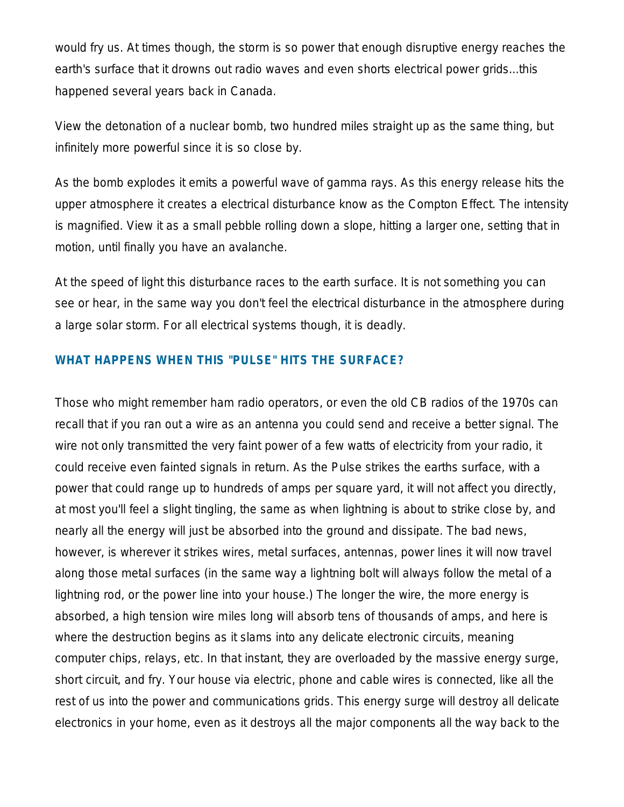would fry us. At times though, the storm is so power that enough disruptive energy reaches the earth's surface that it drowns out radio waves and even shorts electrical power grids...this happened several years back in Canada.

View the detonation of a nuclear bomb, two hundred miles straight up as the same thing, but infinitely more powerful since it is so close by.

As the bomb explodes it emits a powerful wave of gamma rays. As this energy release hits the upper atmosphere it creates a electrical disturbance know as the Compton Effect. The intensity is magnified. View it as a small pebble rolling down a slope, hitting a larger one, setting that in motion, until finally you have an avalanche.

At the speed of light this disturbance races to the earth surface. It is not something you can see or hear, in the same way you don't feel the electrical disturbance in the atmosphere during a large solar storm. For all electrical systems though, it is deadly.

## **WHAT HAPPENS WHEN THIS "PULSE" HITS THE SURFACE?**

Those who might remember ham radio operators, or even the old CB radios of the 1970s can recall that if you ran out a wire as an antenna you could send and receive a better signal. The wire not only transmitted the very faint power of a few watts of electricity from your radio, it could receive even fainted signals in return. As the Pulse strikes the earths surface, with a power that could range up to hundreds of amps per square yard, it will not affect you directly, at most you'll feel a slight tingling, the same as when lightning is about to strike close by, and nearly all the energy will just be absorbed into the ground and dissipate. The bad news, however, is wherever it strikes wires, metal surfaces, antennas, power lines it will now travel along those metal surfaces (in the same way a lightning bolt will always follow the metal of a lightning rod, or the power line into your house.) The longer the wire, the more energy is absorbed, a high tension wire miles long will absorb tens of thousands of amps, and here is where the destruction begins as it slams into any delicate electronic circuits, meaning computer chips, relays, etc. In that instant, they are overloaded by the massive energy surge, short circuit, and fry. Your house via electric, phone and cable wires is connected, like all the rest of us into the power and communications grids. This energy surge will destroy all delicate electronics in your home, even as it destroys all the major components all the way back to the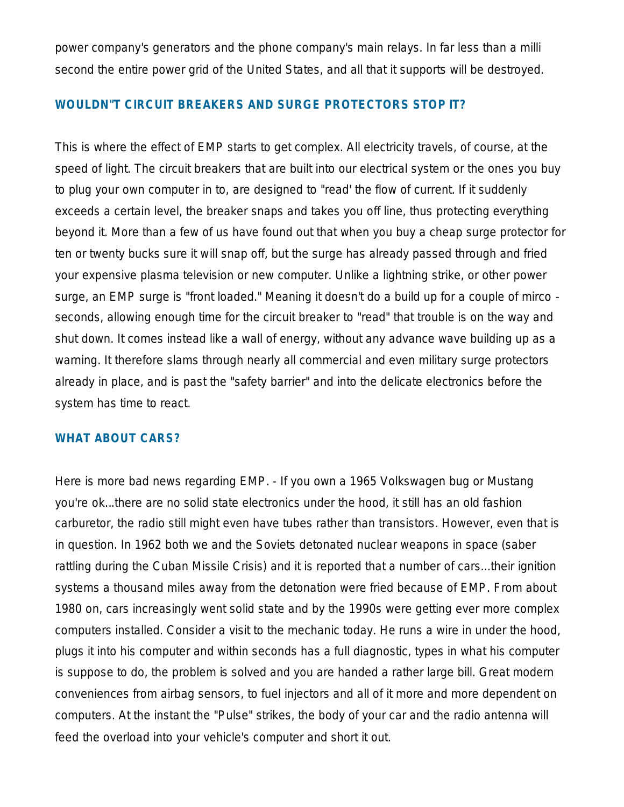power company's generators and the phone company's main relays. In far less than a milli second the entire power grid of the United States, and all that it supports will be destroyed.

### **WOULDN"T CIRCUIT BREAKERS AND SURGE PROTECTORS STOP IT?**

This is where the effect of EMP starts to get complex. All electricity travels, of course, at the speed of light. The circuit breakers that are built into our electrical system or the ones you buy to plug your own computer in to, are designed to "read' the flow of current. If it suddenly exceeds a certain level, the breaker snaps and takes you off line, thus protecting everything beyond it. More than a few of us have found out that when you buy a cheap surge protector for ten or twenty bucks sure it will snap off, but the surge has already passed through and fried your expensive plasma television or new computer. Unlike a lightning strike, or other power surge, an EMP surge is "front loaded." Meaning it doesn't do a build up for a couple of mirco seconds, allowing enough time for the circuit breaker to "read" that trouble is on the way and shut down. It comes instead like a wall of energy, without any advance wave building up as a warning. It therefore slams through nearly all commercial and even military surge protectors already in place, and is past the "safety barrier" and into the delicate electronics before the system has time to react.

### **WHAT ABOUT CARS?**

Here is more bad news regarding EMP. - If you own a 1965 Volkswagen bug or Mustang you're ok...there are no solid state electronics under the hood, it still has an old fashion carburetor, the radio still might even have tubes rather than transistors. However, even that is in question. In 1962 both we and the Soviets detonated nuclear weapons in space (saber rattling during the Cuban Missile Crisis) and it is reported that a number of cars...their ignition systems a thousand miles away from the detonation were fried because of EMP. From about 1980 on, cars increasingly went solid state and by the 1990s were getting ever more complex computers installed. Consider a visit to the mechanic today. He runs a wire in under the hood, plugs it into his computer and within seconds has a full diagnostic, types in what his computer is suppose to do, the problem is solved and you are handed a rather large bill. Great modern conveniences from airbag sensors, to fuel injectors and all of it more and more dependent on computers. At the instant the "Pulse" strikes, the body of your car and the radio antenna will feed the overload into your vehicle's computer and short it out.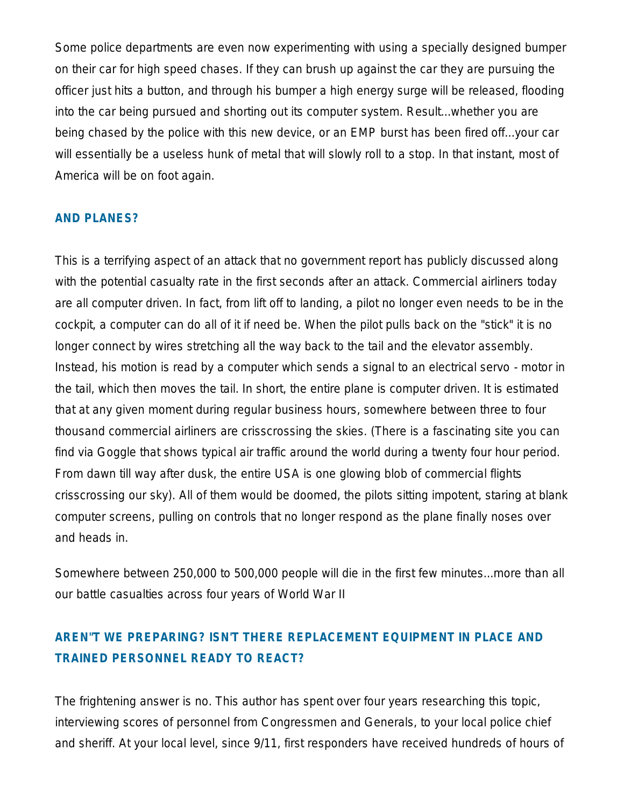Some police departments are even now experimenting with using a specially designed bumper on their car for high speed chases. If they can brush up against the car they are pursuing the officer just hits a button, and through his bumper a high energy surge will be released, flooding into the car being pursued and shorting out its computer system. Result...whether you are being chased by the police with this new device, or an EMP burst has been fired off...your car will essentially be a useless hunk of metal that will slowly roll to a stop. In that instant, most of America will be on foot again.

### **AND PLANES?**

This is a terrifying aspect of an attack that no government report has publicly discussed along with the potential casualty rate in the first seconds after an attack. Commercial airliners today are all computer driven. In fact, from lift off to landing, a pilot no longer even needs to be in the cockpit, a computer can do all of it if need be. When the pilot pulls back on the "stick" it is no longer connect by wires stretching all the way back to the tail and the elevator assembly. Instead, his motion is read by a computer which sends a signal to an electrical servo - motor in the tail, which then moves the tail. In short, the entire plane is computer driven. It is estimated that at any given moment during regular business hours, somewhere between three to four thousand commercial airliners are crisscrossing the skies. (There is a fascinating site you can find via Goggle that shows typical air traffic around the world during a twenty four hour period. From dawn till way after dusk, the entire USA is one glowing blob of commercial flights crisscrossing our sky). All of them would be doomed, the pilots sitting impotent, staring at blank computer screens, pulling on controls that no longer respond as the plane finally noses over and heads in.

Somewhere between 250,000 to 500,000 people will die in the first few minutes...more than all our battle casualties across four years of World War II

# **AREN"T WE PREPARING? ISN'T THERE REPLACEMENT EQUIPMENT IN PLACE AND TRAINED PERSONNEL READY TO REACT?**

The frightening answer is no. This author has spent over four years researching this topic, interviewing scores of personnel from Congressmen and Generals, to your local police chief and sheriff. At your local level, since 9/11, first responders have received hundreds of hours of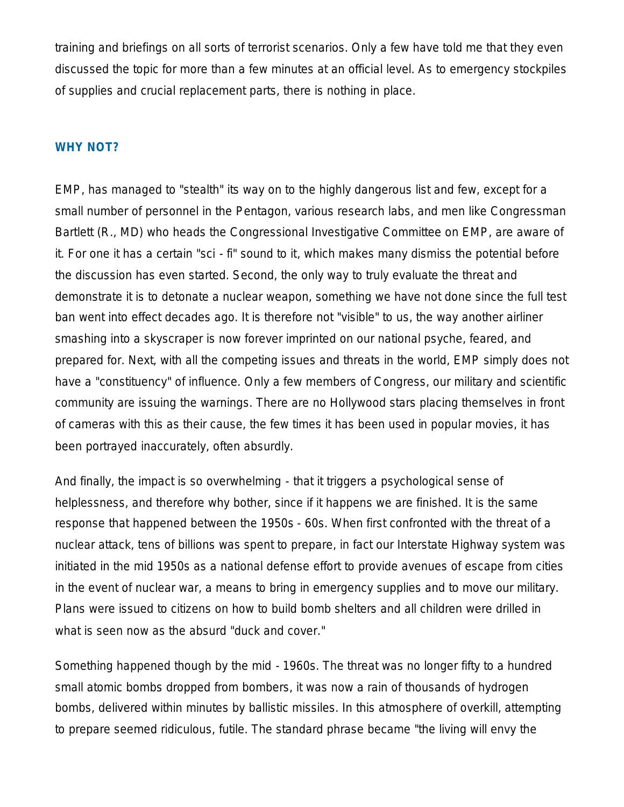training and briefings on all sorts of terrorist scenarios. Only a few have told me that they even discussed the topic for more than a few minutes at an official level. As to emergency stockpiles of supplies and crucial replacement parts, there is nothing in place.

#### **WHY NOT?**

EMP, has managed to "stealth" its way on to the highly dangerous list and few, except for a small number of personnel in the Pentagon, various research labs, and men like Congressman Bartlett (R., MD) who heads the Congressional Investigative Committee on EMP, are aware of it. For one it has a certain "sci - fi" sound to it, which makes many dismiss the potential before the discussion has even started. Second, the only way to truly evaluate the threat and demonstrate it is to detonate a nuclear weapon, something we have not done since the full test ban went into effect decades ago. It is therefore not "visible" to us, the way another airliner smashing into a skyscraper is now forever imprinted on our national psyche, feared, and prepared for. Next, with all the competing issues and threats in the world, EMP simply does not have a "constituency" of influence. Only a few members of Congress, our military and scientific community are issuing the warnings. There are no Hollywood stars placing themselves in front of cameras with this as their cause, the few times it has been used in popular movies, it has been portrayed inaccurately, often absurdly.

And finally, the impact is so overwhelming - that it triggers a psychological sense of helplessness, and therefore why bother, since if it happens we are finished. It is the same response that happened between the 1950s - 60s. When first confronted with the threat of a nuclear attack, tens of billions was spent to prepare, in fact our Interstate Highway system was initiated in the mid 1950s as a national defense effort to provide avenues of escape from cities in the event of nuclear war, a means to bring in emergency supplies and to move our military. Plans were issued to citizens on how to build bomb shelters and all children were drilled in what is seen now as the absurd "duck and cover."

Something happened though by the mid - 1960s. The threat was no longer fifty to a hundred small atomic bombs dropped from bombers, it was now a rain of thousands of hydrogen bombs, delivered within minutes by ballistic missiles. In this atmosphere of overkill, attempting to prepare seemed ridiculous, futile. The standard phrase became "the living will envy the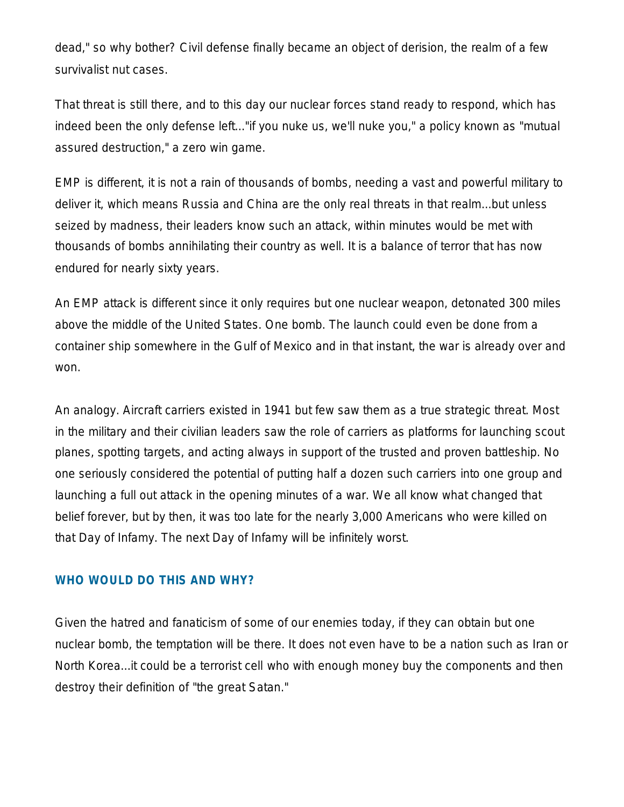dead," so why bother? Civil defense finally became an object of derision, the realm of a few survivalist nut cases.

That threat is still there, and to this day our nuclear forces stand ready to respond, which has indeed been the only defense left..."if you nuke us, we'll nuke you," a policy known as "mutual assured destruction," a zero win game.

EMP is different, it is not a rain of thousands of bombs, needing a vast and powerful military to deliver it, which means Russia and China are the only real threats in that realm...but unless seized by madness, their leaders know such an attack, within minutes would be met with thousands of bombs annihilating their country as well. It is a balance of terror that has now endured for nearly sixty years.

An EMP attack is different since it only requires but one nuclear weapon, detonated 300 miles above the middle of the United States. One bomb. The launch could even be done from a container ship somewhere in the Gulf of Mexico and in that instant, the war is already over and won.

An analogy. Aircraft carriers existed in 1941 but few saw them as a true strategic threat. Most in the military and their civilian leaders saw the role of carriers as platforms for launching scout planes, spotting targets, and acting always in support of the trusted and proven battleship. No one seriously considered the potential of putting half a dozen such carriers into one group and launching a full out attack in the opening minutes of a war. We all know what changed that belief forever, but by then, it was too late for the nearly 3,000 Americans who were killed on that Day of Infamy. The next Day of Infamy will be infinitely worst.

### **WHO WOULD DO THIS AND WHY?**

Given the hatred and fanaticism of some of our enemies today, if they can obtain but one nuclear bomb, the temptation will be there. It does not even have to be a nation such as Iran or North Korea...it could be a terrorist cell who with enough money buy the components and then destroy their definition of "the great Satan."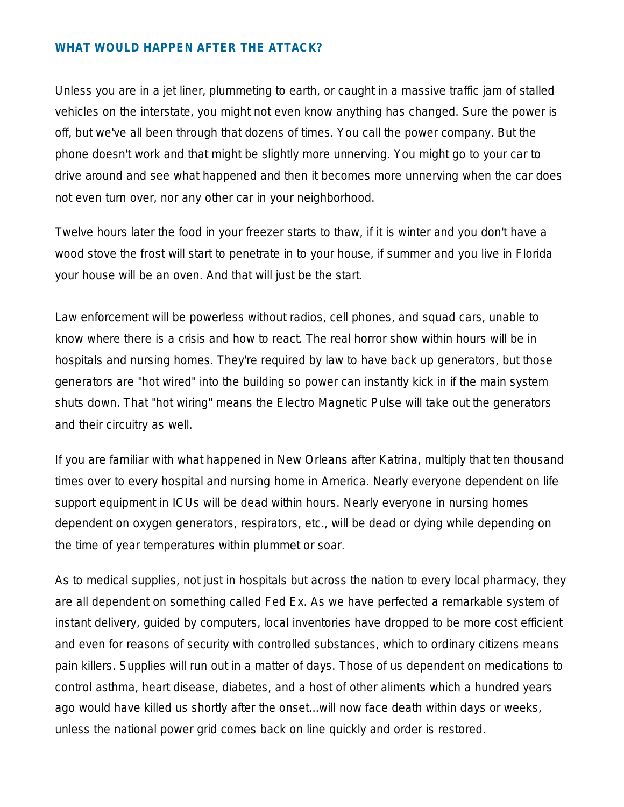### **WHAT WOULD HAPPEN AFTER THE ATTACK?**

Unless you are in a jet liner, plummeting to earth, or caught in a massive traffic jam of stalled vehicles on the interstate, you might not even know anything has changed. Sure the power is off, but we've all been through that dozens of times. You call the power company. But the phone doesn't work and that might be slightly more unnerving. You might go to your car to drive around and see what happened and then it becomes more unnerving when the car does not even turn over, nor any other car in your neighborhood.

Twelve hours later the food in your freezer starts to thaw, if it is winter and you don't have a wood stove the frost will start to penetrate in to your house, if summer and you live in Florida your house will be an oven. And that will just be the start.

Law enforcement will be powerless without radios, cell phones, and squad cars, unable to know where there is a crisis and how to react. The real horror show within hours will be in hospitals and nursing homes. They're required by law to have back up generators, but those generators are "hot wired" into the building so power can instantly kick in if the main system shuts down. That "hot wiring" means the Electro Magnetic Pulse will take out the generators and their circuitry as well.

If you are familiar with what happened in New Orleans after Katrina, multiply that ten thousand times over to every hospital and nursing home in America. Nearly everyone dependent on life support equipment in ICUs will be dead within hours. Nearly everyone in nursing homes dependent on oxygen generators, respirators, etc., will be dead or dying while depending on the time of year temperatures within plummet or soar.

As to medical supplies, not just in hospitals but across the nation to every local pharmacy, they are all dependent on something called Fed Ex. As we have perfected a remarkable system of instant delivery, guided by computers, local inventories have dropped to be more cost efficient and even for reasons of security with controlled substances, which to ordinary citizens means pain killers. Supplies will run out in a matter of days. Those of us dependent on medications to control asthma, heart disease, diabetes, and a host of other aliments which a hundred years ago would have killed us shortly after the onset...will now face death within days or weeks, unless the national power grid comes back on line quickly and order is restored.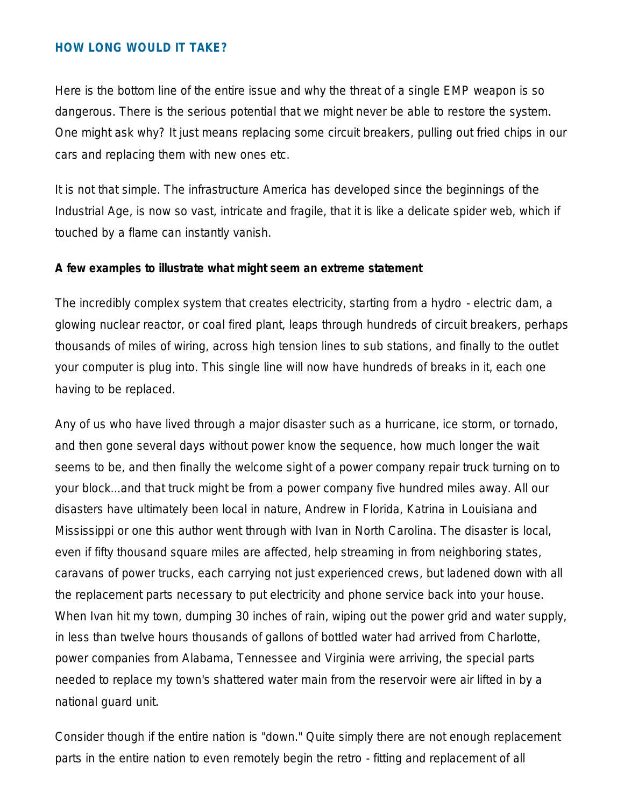### **HOW LONG WOULD IT TAKE?**

Here is the bottom line of the entire issue and why the threat of a single EMP weapon is so dangerous. There is the serious potential that we might never be able to restore the system. One might ask why? It just means replacing some circuit breakers, pulling out fried chips in our cars and replacing them with new ones etc.

It is not that simple. The infrastructure America has developed since the beginnings of the Industrial Age, is now so vast, intricate and fragile, that it is like a delicate spider web, which if touched by a flame can instantly vanish.

#### **A few examples to illustrate what might seem an extreme statement**

The incredibly complex system that creates electricity, starting from a hydro - electric dam, a glowing nuclear reactor, or coal fired plant, leaps through hundreds of circuit breakers, perhaps thousands of miles of wiring, across high tension lines to sub stations, and finally to the outlet your computer is plug into. This single line will now have hundreds of breaks in it, each one having to be replaced.

Any of us who have lived through a major disaster such as a hurricane, ice storm, or tornado, and then gone several days without power know the sequence, how much longer the wait seems to be, and then finally the welcome sight of a power company repair truck turning on to your block...and that truck might be from a power company five hundred miles away. All our disasters have ultimately been local in nature, Andrew in Florida, Katrina in Louisiana and Mississippi or one this author went through with Ivan in North Carolina. The disaster is local, even if fifty thousand square miles are affected, help streaming in from neighboring states, caravans of power trucks, each carrying not just experienced crews, but ladened down with all the replacement parts necessary to put electricity and phone service back into your house. When Ivan hit my town, dumping 30 inches of rain, wiping out the power grid and water supply, in less than twelve hours thousands of gallons of bottled water had arrived from Charlotte, power companies from Alabama, Tennessee and Virginia were arriving, the special parts needed to replace my town's shattered water main from the reservoir were air lifted in by a national guard unit.

Consider though if the entire nation is "down." Quite simply there are not enough replacement parts in the entire nation to even remotely begin the retro - fitting and replacement of all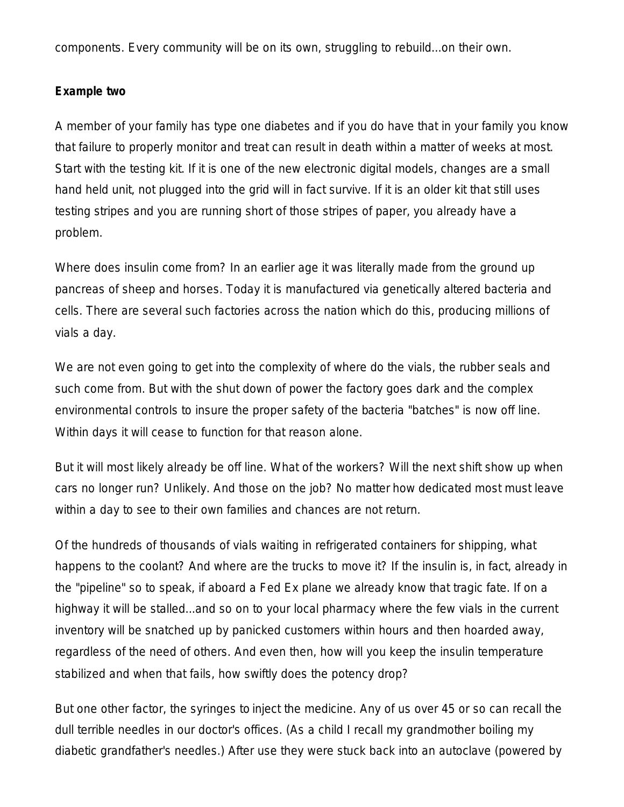components. Every community will be on its own, struggling to rebuild...on their own.

#### **Example two**

A member of your family has type one diabetes and if you do have that in your family you know that failure to properly monitor and treat can result in death within a matter of weeks at most. Start with the testing kit. If it is one of the new electronic digital models, changes are a small hand held unit, not plugged into the grid will in fact survive. If it is an older kit that still uses testing stripes and you are running short of those stripes of paper, you already have a problem.

Where does insulin come from? In an earlier age it was literally made from the ground up pancreas of sheep and horses. Today it is manufactured via genetically altered bacteria and cells. There are several such factories across the nation which do this, producing millions of vials a day.

We are not even going to get into the complexity of where do the vials, the rubber seals and such come from. But with the shut down of power the factory goes dark and the complex environmental controls to insure the proper safety of the bacteria "batches" is now off line. Within days it will cease to function for that reason alone.

But it will most likely already be off line. What of the workers? Will the next shift show up when cars no longer run? Unlikely. And those on the job? No matter how dedicated most must leave within a day to see to their own families and chances are not return.

Of the hundreds of thousands of vials waiting in refrigerated containers for shipping, what happens to the coolant? And where are the trucks to move it? If the insulin is, in fact, already in the "pipeline" so to speak, if aboard a Fed Ex plane we already know that tragic fate. If on a highway it will be stalled...and so on to your local pharmacy where the few vials in the current inventory will be snatched up by panicked customers within hours and then hoarded away, regardless of the need of others. And even then, how will you keep the insulin temperature stabilized and when that fails, how swiftly does the potency drop?

But one other factor, the syringes to inject the medicine. Any of us over 45 or so can recall the dull terrible needles in our doctor's offices. (As a child I recall my grandmother boiling my diabetic grandfather's needles.) After use they were stuck back into an autoclave (powered by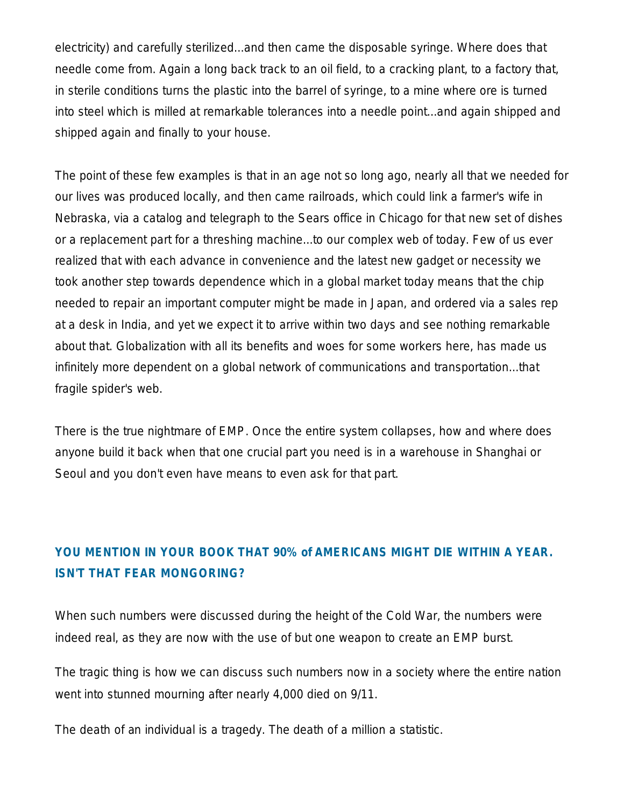electricity) and carefully sterilized...and then came the disposable syringe. Where does that needle come from. Again a long back track to an oil field, to a cracking plant, to a factory that, in sterile conditions turns the plastic into the barrel of syringe, to a mine where ore is turned into steel which is milled at remarkable tolerances into a needle point...and again shipped and shipped again and finally to your house.

The point of these few examples is that in an age not so long ago, nearly all that we needed for our lives was produced locally, and then came railroads, which could link a farmer's wife in Nebraska, via a catalog and telegraph to the Sears office in Chicago for that new set of dishes or a replacement part for a threshing machine...to our complex web of today. Few of us ever realized that with each advance in convenience and the latest new gadget or necessity we took another step towards dependence which in a global market today means that the chip needed to repair an important computer might be made in Japan, and ordered via a sales rep at a desk in India, and yet we expect it to arrive within two days and see nothing remarkable about that. Globalization with all its benefits and woes for some workers here, has made us infinitely more dependent on a global network of communications and transportation...that fragile spider's web.

There is the true nightmare of EMP. Once the entire system collapses, how and where does anyone build it back when that one crucial part you need is in a warehouse in Shanghai or Seoul and you don't even have means to even ask for that part.

# **YOU MENTION IN YOUR BOOK THAT 90% of AMERICANS MIGHT DIE WITHIN A YEAR. ISN'T THAT FEAR MONGORING?**

When such numbers were discussed during the height of the Cold War, the numbers were indeed real, as they are now with the use of but one weapon to create an EMP burst.

The tragic thing is how we can discuss such numbers now in a society where the entire nation went into stunned mourning after nearly 4,000 died on 9/11.

The death of an individual is a tragedy. The death of a million a statistic.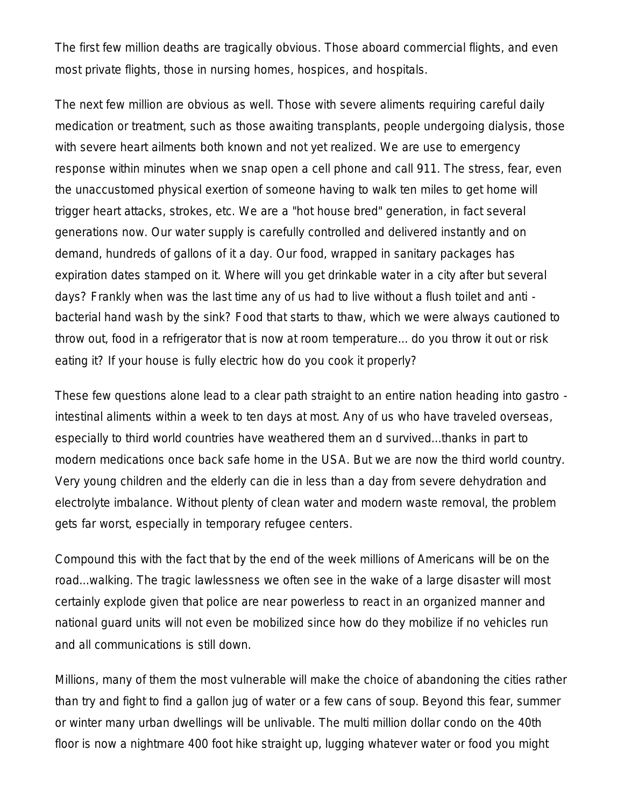The first few million deaths are tragically obvious. Those aboard commercial flights, and even most private flights, those in nursing homes, hospices, and hospitals.

The next few million are obvious as well. Those with severe aliments requiring careful daily medication or treatment, such as those awaiting transplants, people undergoing dialysis, those with severe heart ailments both known and not yet realized. We are use to emergency response within minutes when we snap open a cell phone and call 911. The stress, fear, even the unaccustomed physical exertion of someone having to walk ten miles to get home will trigger heart attacks, strokes, etc. We are a "hot house bred" generation, in fact several generations now. Our water supply is carefully controlled and delivered instantly and on demand, hundreds of gallons of it a day. Our food, wrapped in sanitary packages has expiration dates stamped on it. Where will you get drinkable water in a city after but several days? Frankly when was the last time any of us had to live without a flush toilet and anti bacterial hand wash by the sink? Food that starts to thaw, which we were always cautioned to throw out, food in a refrigerator that is now at room temperature... do you throw it out or risk eating it? If your house is fully electric how do you cook it properly?

These few questions alone lead to a clear path straight to an entire nation heading into gastro intestinal aliments within a week to ten days at most. Any of us who have traveled overseas, especially to third world countries have weathered them an d survived...thanks in part to modern medications once back safe home in the USA. But we are now the third world country. Very young children and the elderly can die in less than a day from severe dehydration and electrolyte imbalance. Without plenty of clean water and modern waste removal, the problem gets far worst, especially in temporary refugee centers.

Compound this with the fact that by the end of the week millions of Americans will be on the road...walking. The tragic lawlessness we often see in the wake of a large disaster will most certainly explode given that police are near powerless to react in an organized manner and national guard units will not even be mobilized since how do they mobilize if no vehicles run and all communications is still down.

Millions, many of them the most vulnerable will make the choice of abandoning the cities rather than try and fight to find a gallon jug of water or a few cans of soup. Beyond this fear, summer or winter many urban dwellings will be unlivable. The multi million dollar condo on the 40th floor is now a nightmare 400 foot hike straight up, lugging whatever water or food you might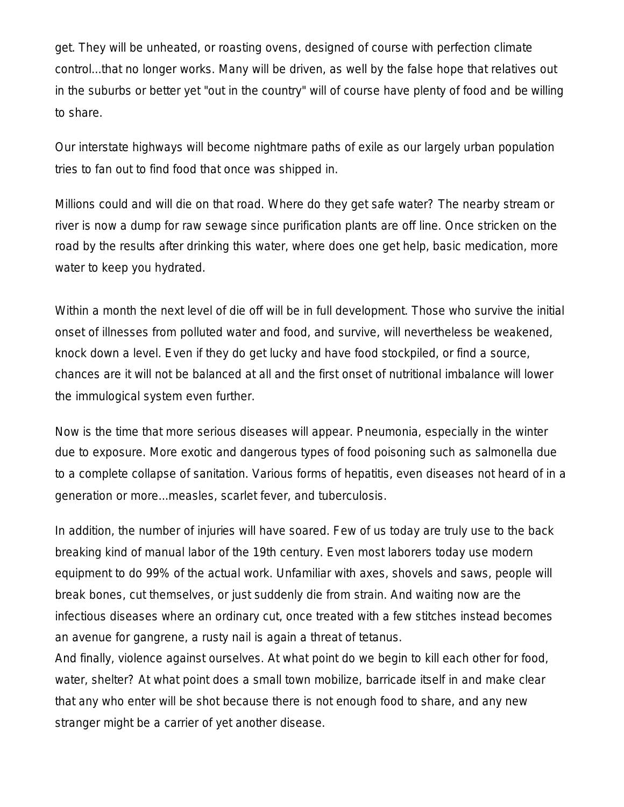get. They will be unheated, or roasting ovens, designed of course with perfection climate control...that no longer works. Many will be driven, as well by the false hope that relatives out in the suburbs or better yet "out in the country" will of course have plenty of food and be willing to share.

Our interstate highways will become nightmare paths of exile as our largely urban population tries to fan out to find food that once was shipped in.

Millions could and will die on that road. Where do they get safe water? The nearby stream or river is now a dump for raw sewage since purification plants are off line. Once stricken on the road by the results after drinking this water, where does one get help, basic medication, more water to keep you hydrated.

Within a month the next level of die off will be in full development. Those who survive the initial onset of illnesses from polluted water and food, and survive, will nevertheless be weakened, knock down a level. Even if they do get lucky and have food stockpiled, or find a source, chances are it will not be balanced at all and the first onset of nutritional imbalance will lower the immulogical system even further.

Now is the time that more serious diseases will appear. Pneumonia, especially in the winter due to exposure. More exotic and dangerous types of food poisoning such as salmonella due to a complete collapse of sanitation. Various forms of hepatitis, even diseases not heard of in a generation or more...measles, scarlet fever, and tuberculosis.

In addition, the number of injuries will have soared. Few of us today are truly use to the back breaking kind of manual labor of the 19th century. Even most laborers today use modern equipment to do 99% of the actual work. Unfamiliar with axes, shovels and saws, people will break bones, cut themselves, or just suddenly die from strain. And waiting now are the infectious diseases where an ordinary cut, once treated with a few stitches instead becomes an avenue for gangrene, a rusty nail is again a threat of tetanus.

And finally, violence against ourselves. At what point do we begin to kill each other for food, water, shelter? At what point does a small town mobilize, barricade itself in and make clear that any who enter will be shot because there is not enough food to share, and any new stranger might be a carrier of yet another disease.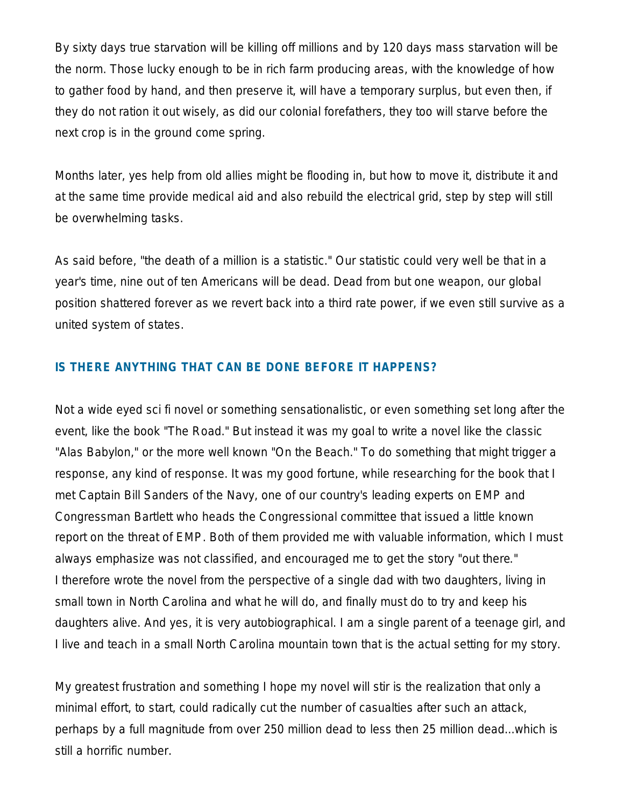By sixty days true starvation will be killing off millions and by 120 days mass starvation will be the norm. Those lucky enough to be in rich farm producing areas, with the knowledge of how to gather food by hand, and then preserve it, will have a temporary surplus, but even then, if they do not ration it out wisely, as did our colonial forefathers, they too will starve before the next crop is in the ground come spring.

Months later, yes help from old allies might be flooding in, but how to move it, distribute it and at the same time provide medical aid and also rebuild the electrical grid, step by step will still be overwhelming tasks.

As said before, "the death of a million is a statistic." Our statistic could very well be that in a year's time, nine out of ten Americans will be dead. Dead from but one weapon, our global position shattered forever as we revert back into a third rate power, if we even still survive as a united system of states.

## **IS THERE ANYTHING THAT CAN BE DONE BEFORE IT HAPPENS?**

Not a wide eyed sci fi novel or something sensationalistic, or even something set long after the event, like the book "The Road." But instead it was my goal to write a novel like the classic "Alas Babylon," or the more well known "On the Beach." To do something that might trigger a response, any kind of response. It was my good fortune, while researching for the book that I met Captain Bill Sanders of the Navy, one of our country's leading experts on EMP and Congressman Bartlett who heads the Congressional committee that issued a little known report on the threat of EMP. Both of them provided me with valuable information, which I must always emphasize was not classified, and encouraged me to get the story "out there." I therefore wrote the novel from the perspective of a single dad with two daughters, living in small town in North Carolina and what he will do, and finally must do to try and keep his daughters alive. And yes, it is very autobiographical. I am a single parent of a teenage girl, and I live and teach in a small North Carolina mountain town that is the actual setting for my story.

My greatest frustration and something I hope my novel will stir is the realization that only a minimal effort, to start, could radically cut the number of casualties after such an attack, perhaps by a full magnitude from over 250 million dead to less then 25 million dead...which is still a horrific number.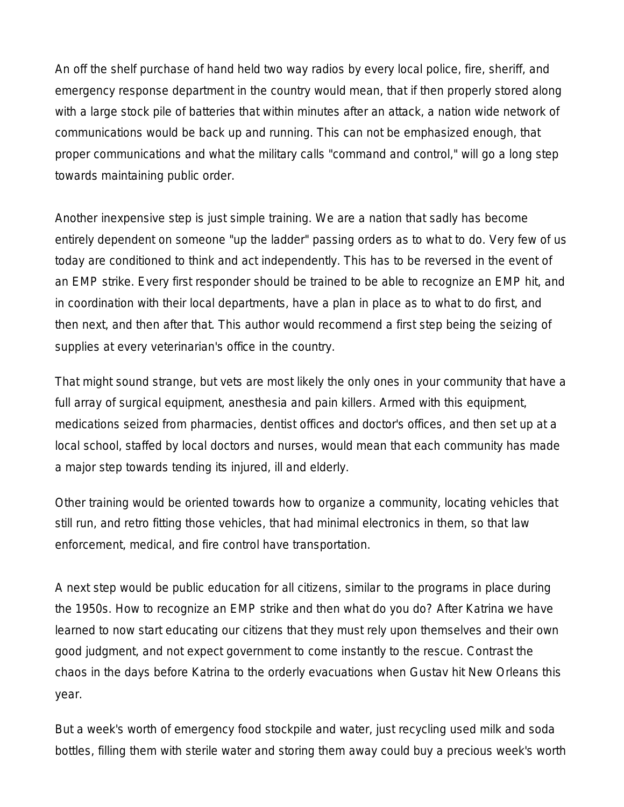An off the shelf purchase of hand held two way radios by every local police, fire, sheriff, and emergency response department in the country would mean, that if then properly stored along with a large stock pile of batteries that within minutes after an attack, a nation wide network of communications would be back up and running. This can not be emphasized enough, that proper communications and what the military calls "command and control," will go a long step towards maintaining public order.

Another inexpensive step is just simple training. We are a nation that sadly has become entirely dependent on someone "up the ladder" passing orders as to what to do. Very few of us today are conditioned to think and act independently. This has to be reversed in the event of an EMP strike. Every first responder should be trained to be able to recognize an EMP hit, and in coordination with their local departments, have a plan in place as to what to do first, and then next, and then after that. This author would recommend a first step being the seizing of supplies at every veterinarian's office in the country.

That might sound strange, but vets are most likely the only ones in your community that have a full array of surgical equipment, anesthesia and pain killers. Armed with this equipment, medications seized from pharmacies, dentist offices and doctor's offices, and then set up at a local school, staffed by local doctors and nurses, would mean that each community has made a major step towards tending its injured, ill and elderly.

Other training would be oriented towards how to organize a community, locating vehicles that still run, and retro fitting those vehicles, that had minimal electronics in them, so that law enforcement, medical, and fire control have transportation.

A next step would be public education for all citizens, similar to the programs in place during the 1950s. How to recognize an EMP strike and then what do you do? After Katrina we have learned to now start educating our citizens that they must rely upon themselves and their own good judgment, and not expect government to come instantly to the rescue. Contrast the chaos in the days before Katrina to the orderly evacuations when Gustav hit New Orleans this year.

But a week's worth of emergency food stockpile and water, just recycling used milk and soda bottles, filling them with sterile water and storing them away could buy a precious week's worth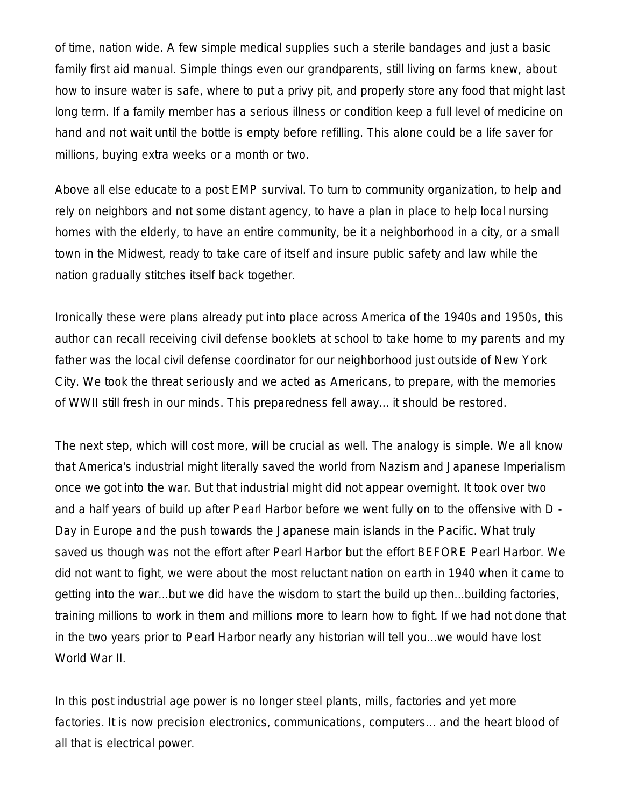of time, nation wide. A few simple medical supplies such a sterile bandages and just a basic family first aid manual. Simple things even our grandparents, still living on farms knew, about how to insure water is safe, where to put a privy pit, and properly store any food that might last long term. If a family member has a serious illness or condition keep a full level of medicine on hand and not wait until the bottle is empty before refilling. This alone could be a life saver for millions, buying extra weeks or a month or two.

Above all else educate to a post EMP survival. To turn to community organization, to help and rely on neighbors and not some distant agency, to have a plan in place to help local nursing homes with the elderly, to have an entire community, be it a neighborhood in a city, or a small town in the Midwest, ready to take care of itself and insure public safety and law while the nation gradually stitches itself back together.

Ironically these were plans already put into place across America of the 1940s and 1950s, this author can recall receiving civil defense booklets at school to take home to my parents and my father was the local civil defense coordinator for our neighborhood just outside of New York City. We took the threat seriously and we acted as Americans, to prepare, with the memories of WWII still fresh in our minds. This preparedness fell away... it should be restored.

The next step, which will cost more, will be crucial as well. The analogy is simple. We all know that America's industrial might literally saved the world from Nazism and Japanese Imperialism once we got into the war. But that industrial might did not appear overnight. It took over two and a half years of build up after Pearl Harbor before we went fully on to the offensive with D - Day in Europe and the push towards the Japanese main islands in the Pacific. What truly saved us though was not the effort after Pearl Harbor but the effort BEFORE Pearl Harbor. We did not want to fight, we were about the most reluctant nation on earth in 1940 when it came to getting into the war...but we did have the wisdom to start the build up then...building factories, training millions to work in them and millions more to learn how to fight. If we had not done that in the two years prior to Pearl Harbor nearly any historian will tell you...we would have lost World War II.

In this post industrial age power is no longer steel plants, mills, factories and yet more factories. It is now precision electronics, communications, computers... and the heart blood of all that is electrical power.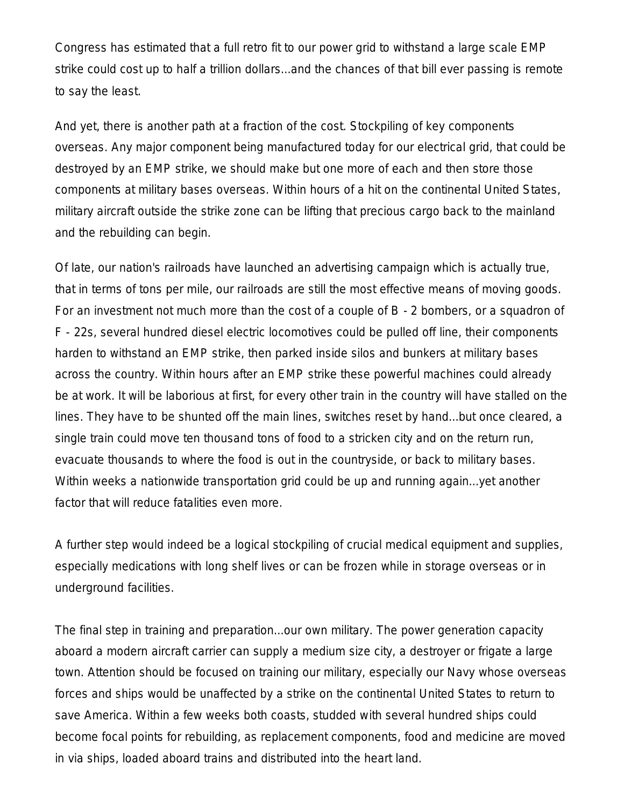Congress has estimated that a full retro fit to our power grid to withstand a large scale EMP strike could cost up to half a trillion dollars...and the chances of that bill ever passing is remote to say the least.

And yet, there is another path at a fraction of the cost. Stockpiling of key components overseas. Any major component being manufactured today for our electrical grid, that could be destroyed by an EMP strike, we should make but one more of each and then store those components at military bases overseas. Within hours of a hit on the continental United States, military aircraft outside the strike zone can be lifting that precious cargo back to the mainland and the rebuilding can begin.

Of late, our nation's railroads have launched an advertising campaign which is actually true, that in terms of tons per mile, our railroads are still the most effective means of moving goods. For an investment not much more than the cost of a couple of B - 2 bombers, or a squadron of F - 22s, several hundred diesel electric locomotives could be pulled off line, their components harden to withstand an EMP strike, then parked inside silos and bunkers at military bases across the country. Within hours after an EMP strike these powerful machines could already be at work. It will be laborious at first, for every other train in the country will have stalled on the lines. They have to be shunted off the main lines, switches reset by hand...but once cleared, a single train could move ten thousand tons of food to a stricken city and on the return run, evacuate thousands to where the food is out in the countryside, or back to military bases. Within weeks a nationwide transportation grid could be up and running again...yet another factor that will reduce fatalities even more.

A further step would indeed be a logical stockpiling of crucial medical equipment and supplies, especially medications with long shelf lives or can be frozen while in storage overseas or in underground facilities.

The final step in training and preparation...our own military. The power generation capacity aboard a modern aircraft carrier can supply a medium size city, a destroyer or frigate a large town. Attention should be focused on training our military, especially our Navy whose overseas forces and ships would be unaffected by a strike on the continental United States to return to save America. Within a few weeks both coasts, studded with several hundred ships could become focal points for rebuilding, as replacement components, food and medicine are moved in via ships, loaded aboard trains and distributed into the heart land.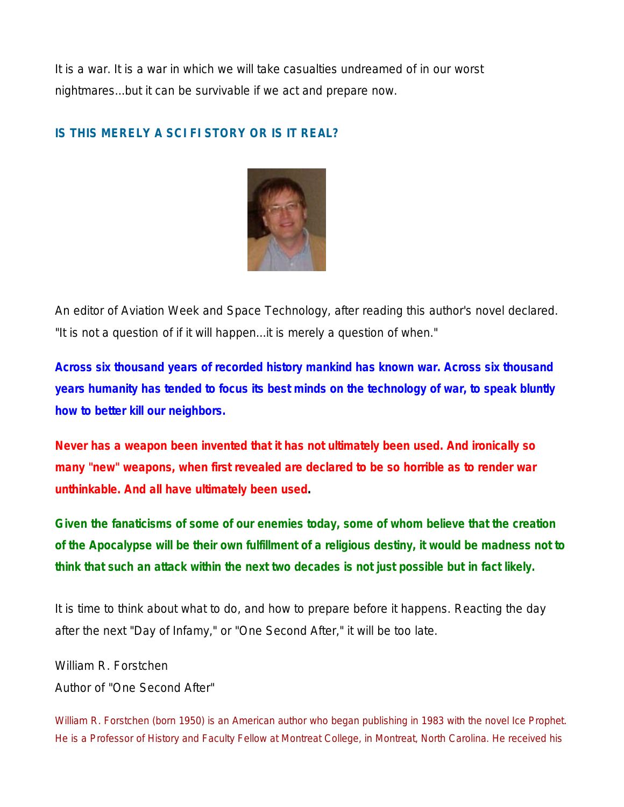It is a war. It is a war in which we will take casualties undreamed of in our worst nightmares...but it can be survivable if we act and prepare now.

## **IS THIS MERELY A SCI FI STORY OR IS IT REAL?**



An editor of Aviation Week and Space Technology, after reading this author's novel declared. "It is not a question of if it will happen...it is merely a question of when."

**Across six thousand years of recorded history mankind has known war. Across six thousand years humanity has tended to focus its best minds on the technology of war, to speak bluntly how to better kill our neighbors.**

**Never has a weapon been invented that it has not ultimately been used. And ironically so many "new" weapons, when first revealed are declared to be so horrible as to render war unthinkable. And all have ultimately been used.**

**Given the fanaticisms of some of our enemies today, some of whom believe that the creation of the Apocalypse will be their own fulfillment of a religious destiny, it would be madness not to think that such an attack within the next two decades is not just possible but in fact likely.**

It is time to think about what to do, and how to prepare before it happens. Reacting the day after the next "Day of Infamy," or "One Second After," it will be too late.

William R. Forstchen Author of "One Second After"

*William R. Forstchen (born 1950) is an American author who began publishing in 1983 with the novel Ice Prophet. He is a Professor of History and Faculty Fellow at Montreat College, in Montreat, North Carolina. He received his*